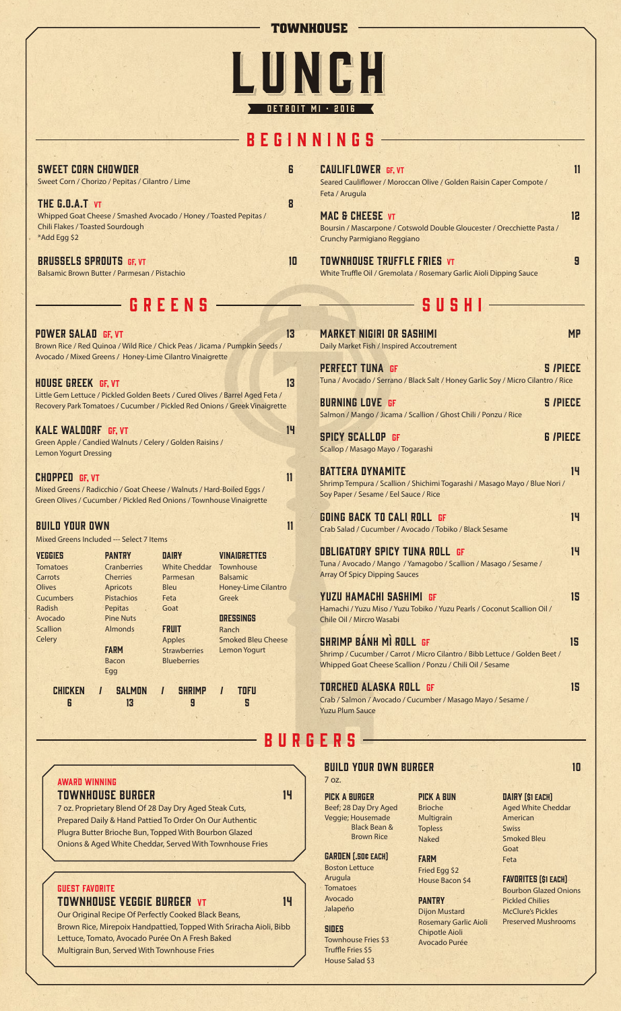#### **TOWNHOUSE**

# LUNGH DETROIT MI · 2016

# beginnings

| <b>SWEET CORN CHOWDER</b><br>Sweet Corn / Chorizo / Pepitas / Cilantro / Lime                                                                  |    |
|------------------------------------------------------------------------------------------------------------------------------------------------|----|
| THE G.O.A.T VT<br>Whipped Goat Cheese / Smashed Avocado / Honey / Toasted Pepitas /<br><b>Chili Flakes / Toasted Sourdough</b><br>*Add Egg \$2 | R  |
| <b>BRUSSELS SPROUTS GF, VT</b><br>Balsamic Brown Butter / Parmesan / Pistachio                                                                 | lП |
| GREENS                                                                                                                                         |    |
| <b>POWER SALAD GF, VT</b><br>Brown Rice / Red Quinoa / Wild Rice / Chick Peas / Jicama / Pumpkin Seeds /                                       | 13 |

| Avocado / Mixed Greens / Honey-Lime Cilantro Vinaigrette                      |
|-------------------------------------------------------------------------------|
|                                                                               |
| <b>HOUSE GREEK GF, VT</b><br>13                                               |
| Little Gem Lettuce / Pickled Golden Beets / Cured Olives / Barrel Aged Feta / |
| Recovery Park Tomatoes / Cucumber / Pickled Red Onions / Greek Vinaigrette    |
|                                                                               |
| 14<br><b>KALE WALDORF GF, VT</b>                                              |
| Green Apple / Candied Walnuts / Celery / Golden Raisins /                     |
| <b>Lemon Yogurt Dressing</b>                                                  |
|                                                                               |
| <b>CHOPPED GF, VT</b>                                                         |
| Mixed Greens / Radicchio / Goat Cheese / Walnuts / Hard-Boiled Eggs /         |
| Green Olives / Cucumber / Pickled Red Onions / Townhouse Vinaigrette          |
|                                                                               |
| <b>BUILD YOUR OWN</b>                                                         |

Mixed Greens Included --- Select 7 Items

| <b>VEGGIES</b>  | <b>PANTRY</b>    | <b>DAIRY</b>         | <b>VINAIGRETTES</b>        |
|-----------------|------------------|----------------------|----------------------------|
| <b>Tomatoes</b> | Cranberries      | <b>White Cheddar</b> | Townhouse                  |
| Carrots         | <b>Cherries</b>  | Parmesan             | <b>Balsamic</b>            |
| Olives          | <b>Apricots</b>  | Bleu                 | <b>Honey-Lime Cilantro</b> |
| Cucumbers       | Pistachios       | Feta                 | Greek                      |
| Radish          | Pepitas          | Goat                 |                            |
| Avocado         | <b>Pine Nuts</b> |                      | <b>DRESSINGS</b>           |
| Scallion        | <b>Almonds</b>   | <b>FRUIT</b>         | Ranch                      |
| Celery          |                  | <b>Apples</b>        | <b>Smoked Bleu Cheese</b>  |
|                 | <b>FARM</b>      | <b>Strawberries</b>  | <b>Lemon Yogurt</b>        |
|                 | Bacon            | <b>Blueberries</b>   |                            |
|                 | Egg              |                      |                            |
| <b>CHICKEN</b>  | <b>SALMON</b>    | <b>SHRIMP</b>        | <b>TOFU</b><br>ı           |
| 6               | 13               | 9                    | 5                          |
|                 |                  |                      |                            |

CAULIFLOWER GF, VT 11 Seared Cauliflower / Moroccan Olive / Golden Raisin Caper Compote / Feta / Arugula MAC & CHEESE VT 12 Boursin / Mascarpone / Cotswold Double Gloucester / Orecchiette Pasta / Crunchy Parmigiano Reggiano TOWNHOUSE TRUFFLE FRIES VT 9 White Truffle Oil / Gremolata / Rosemary Garlic Aioli Dipping Sauce

## sushi

| MARKET NIGIRI OR SASHIMI<br><b>MP</b><br>Daily Market Fish / Inspired Accoutrement                                                                                      |    |
|-------------------------------------------------------------------------------------------------------------------------------------------------------------------------|----|
| <b>PERFECT TUNA GF</b><br><b>S /PIECE</b><br>Tuna / Avocado / Serrano / Black Salt / Honey Garlic Soy / Micro Cilantro / Rice                                           |    |
| <b>S /PIECE</b><br><b>BURNING LOVE GF</b><br>Salmon / Mango / Jicama / Scallion / Ghost Chili / Ponzu / Rice                                                            |    |
| <b>G /PIECE</b><br><b>SPICY SCALLOP GF</b><br>Scallop / Masago Mayo / Togarashi                                                                                         |    |
| <b>BATTERA DYNAMITE</b><br>Shrimp Tempura / Scallion / Shichimi Togarashi / Masago Mayo / Blue Nori /<br>Soy Paper / Sesame / Eel Sauce / Rice                          | 14 |
| GOING BACK TO CALI ROLL  GF<br>Crab Salad / Cucumber / Avocado / Tobiko / Black Sesame                                                                                  | 14 |
| OBLIGATORY SPICY TUNA ROLL GF<br>Tuna / Avocado / Mango / Yamagobo / Scallion / Masago / Sesame /<br><b>Array Of Spicy Dipping Sauces</b>                               | 14 |
| YUZU HAMACHI SASHIMI  GF<br>Hamachi / Yuzu Miso / Yuzu Tobiko / Yuzu Pearls / Coconut Scallion Oil /<br>Chile Oil / Mircro Wasabi                                       | 15 |
| SHRIMP BÁNH MÌ ROLL GF<br>15<br>Shrimp / Cucumber / Carrot / Micro Cilantro / Bibb Lettuce / Golden Beet /<br>Whipped Goat Cheese Scallion / Ponzu / Chili Oil / Sesame |    |
| TORCHED ALASKA ROLL GF<br>Crab / Salmon / Avocado / Cucumber / Masago Mayo / Sesame /<br><b>Yuzu Plum Sauce</b>                                                         | 15 |

BURGERS<sup>1</sup>

#### AWARD WINNING Townhouse Burger 14

7 oz. Proprietary Blend Of 28 Day Dry Aged Steak Cuts, Prepared Daily & Hand Pattied To Order On Our Authentic Plugra Butter Brioche Bun, Topped With Bourbon Glazed Onions & Aged White Cheddar, Served With Townhouse Fries

#### Guest Favorite

### Townhouse veggie burger Vt 14

Our Original Recipe Of Perfectly Cooked Black Beans, Brown Rice, Mirepoix Handpattied, Topped With Sriracha Aioli, Bibb Lettuce, Tomato, Avocado Purée On A Fresh Baked Multigrain Bun, Served With Townhouse Fries

build your own burger the state of the 10 month of 10 month of 10 month of 10  $\,$ 7 oz.

Pick a burger Beef; 28 Day Dry Aged Veggie; Housemade Black Bean & Brown Rice

#### Garden (.50¢ Each) Boston Lettuce Arugula

**Tomatoes** Avocado Jalapeño

Townhouse Fries \$3 Truffle Fries \$5 House Salad \$3

**SIDES** 

#### Naked **FARM** Fried Egg \$2 House Bacon \$4

**PANTRY** Dijon Mustard Rosemary Garlic Aioli Chipotle Aioli Avocado Purée

Pick a bun Brioche Multigrain Topless

#### DAIRY [\$1 EACH] Aged White Cheddar American Swiss Smoked Bleu Goat Feta

FAVORITES [\$1 EACH] Bourbon Glazed Onions Pickled Chilies McClure's Pickles Preserved Mushrooms